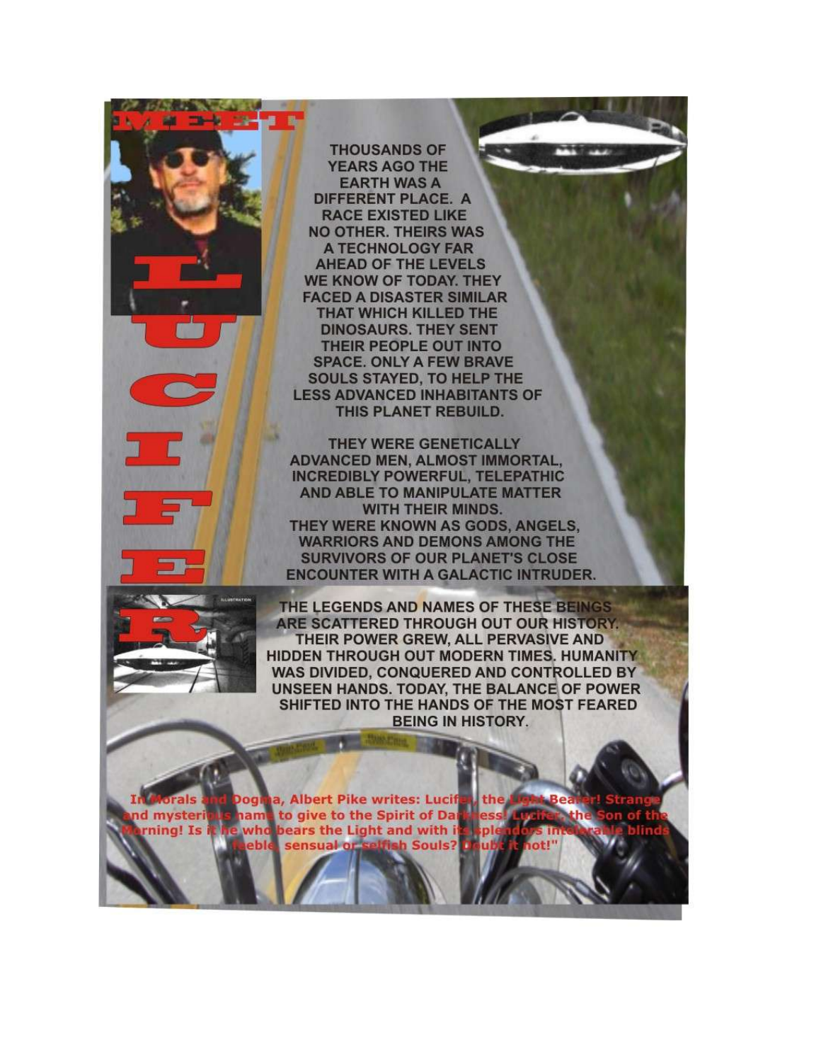A TWT **THOUSANDS OF YEARS AGO THE EARTH WAS A** DIFFERENT PLACE. A **RACE EXISTED LIKE NO OTHER. THEIRS WAS** A TECHNOLOGY FAR **AHEAD OF THE LEVELS** WE KNOW OF TODAY. THEY **FACED A DISASTER SIMILAR** THAT WHICH KILLED THE **DINOSAURS. THEY SENT** THEIR PEOPLE OUT INTO **SPACE. ONLY A FEW BRAVE SOULS STAYED, TO HELP THE LESS ADVANCED INHABITANTS OF** THIS PLANET REBUILD. THEY WERE GENETICALLY **ADVANCED MEN, ALMOST IMMORTAL, INCREDIBLY POWERFUL, TELEPATHIC** AND ABLE TO MANIPULATE MATTER **WITH THEIR MINDS.** THEY WERE KNOWN AS GODS, ANGELS. **WARRIORS AND DEMONS AMONG THE SURVIVORS OF OUR PLANET'S CLOSE ENCOUNTER WITH A GALACTIC INTRUDER.** THE LEGENDS AND NAMES OF THESE BEINGS ARE SCATTERED THROUGH OUT OUR HISTORY. THEIR POWER GREW, ALL PERVASIVE AND HIDDEN THROUGH OUT MODERN TIMES. HUMANITY WAS DIVIDED, CONQUERED AND CONTROLLED BY **UNSEEN HANDS. TODAY, THE BALANCE OF POWER** SHIFTED INTO THE HANDS OF THE MOST FEARED **BEING IN HISTORY.** Dogina, Albert Pike writes: Lucif rals the hame to give to the Spirit of Da d mysteri ning! Is i who bears the Light and with i sh Souls? eble sensual of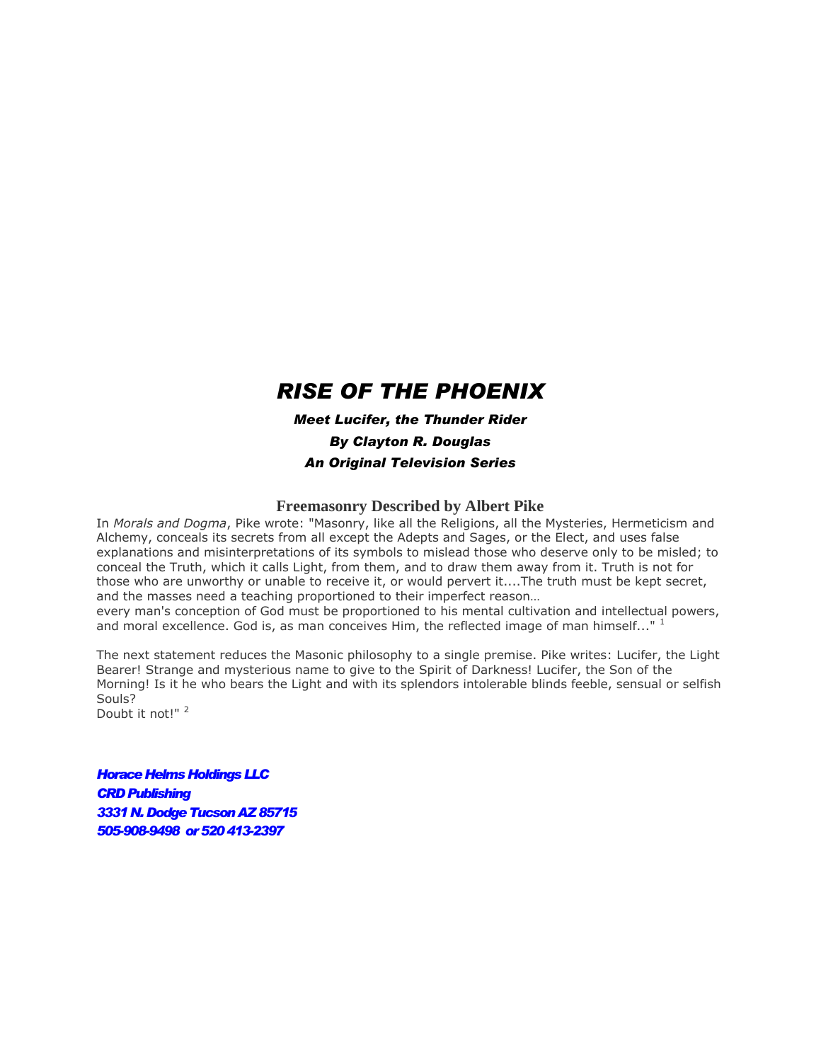# *RISE OF THE PHOENIX*

*Meet Lucifer, the Thunder Rider By Clayton R. Douglas An Original Television Series* 

### **Freemasonry Described by Albert Pike**

In *Morals and Dogma*, Pike wrote: "Masonry, like all the Religions, all the Mysteries, Hermeticism and Alchemy, conceals its secrets from all except the Adepts and Sages, or the Elect, and uses false explanations and misinterpretations of its symbols to mislead those who deserve only to be misled; to conceal the Truth, which it calls Light, from them, and to draw them away from it. Truth is not for those who are unworthy or unable to receive it, or would pervert it....The truth must be kept secret, and the masses need a teaching proportioned to their imperfect reason…

every man's conception of God must be proportioned to his mental cultivation and intellectual powers, and moral excellence. God is, as man conceives Him, the reflected image of man himself..."  $<sup>1</sup>$ </sup>

The next statement reduces the Masonic philosophy to a single premise. Pike writes: Lucifer, the Light Bearer! Strange and mysterious name to give to the Spirit of Darkness! Lucifer, the Son of the Morning! Is it he who bears the Light and with its splendors intolerable blinds feeble, sensual or selfish Souls?

Doubt it not!"<sup>2</sup>

*Horace Helms Holdings LLC CRD Publishing 3331 N. Dodge Tucson AZ 85715 505-908-9498 or 520413-2397*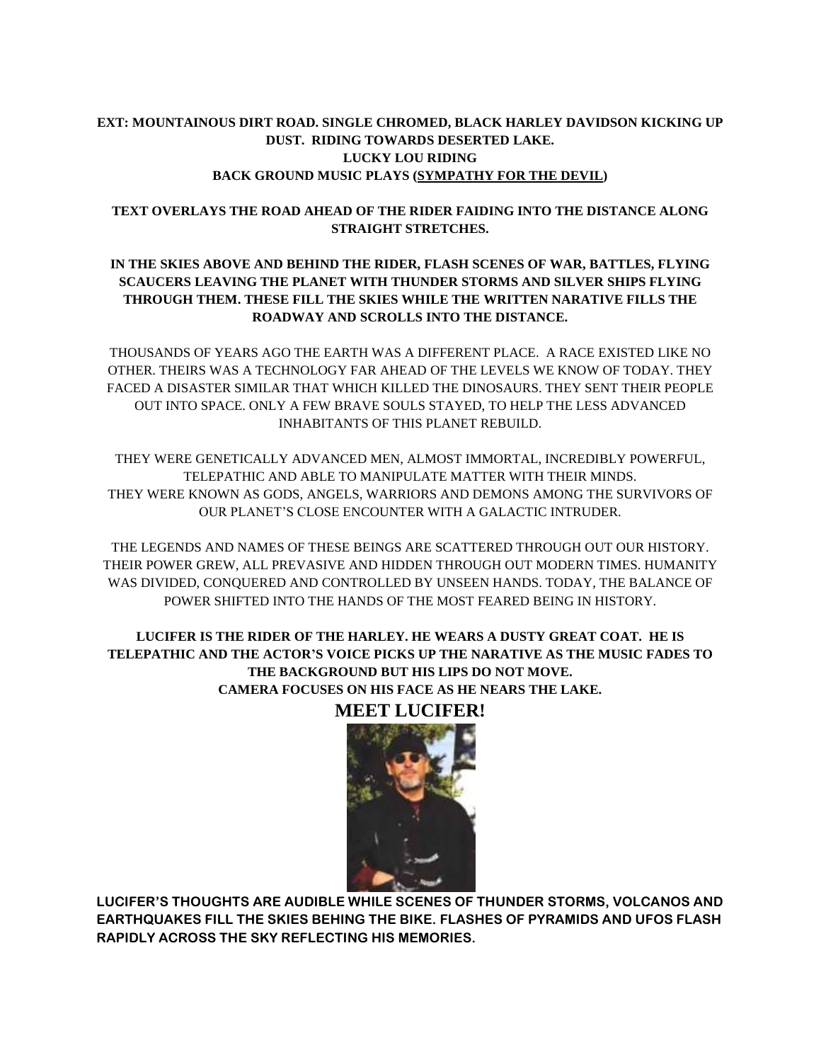# **EXT: MOUNTAINOUS DIRT ROAD. SINGLE CHROMED, BLACK HARLEY DAVIDSON KICKING UP DUST. RIDING TOWARDS DESERTED LAKE. LUCKY LOU RIDING BACK GROUND MUSIC PLAYS [\(SYMPATHY FOR THE DEVIL\)](http://abmp3.com/download/4122353-sympathy-for-the-devil.html)**

### **TEXT OVERLAYS THE ROAD AHEAD OF THE RIDER FAIDING INTO THE DISTANCE ALONG STRAIGHT STRETCHES.**

# **IN THE SKIES ABOVE AND BEHIND THE RIDER, FLASH SCENES OF WAR, BATTLES, FLYING SCAUCERS LEAVING THE PLANET WITH THUNDER STORMS AND SILVER SHIPS FLYING THROUGH THEM. THESE FILL THE SKIES WHILE THE WRITTEN NARATIVE FILLS THE ROADWAY AND SCROLLS INTO THE DISTANCE.**

THOUSANDS OF YEARS AGO THE EARTH WAS A DIFFERENT PLACE. A RACE EXISTED LIKE NO OTHER. THEIRS WAS A TECHNOLOGY FAR AHEAD OF THE LEVELS WE KNOW OF TODAY. THEY FACED A DISASTER SIMILAR THAT WHICH KILLED THE DINOSAURS. THEY SENT THEIR PEOPLE OUT INTO SPACE. ONLY A FEW BRAVE SOULS STAYED, TO HELP THE LESS ADVANCED INHABITANTS OF THIS PLANET REBUILD.

THEY WERE GENETICALLY ADVANCED MEN, ALMOST IMMORTAL, INCREDIBLY POWERFUL, TELEPATHIC AND ABLE TO MANIPULATE MATTER WITH THEIR MINDS. THEY WERE KNOWN AS GODS, ANGELS, WARRIORS AND DEMONS AMONG THE SURVIVORS OF OUR PLANET'S CLOSE ENCOUNTER WITH A GALACTIC INTRUDER.

THE LEGENDS AND NAMES OF THESE BEINGS ARE SCATTERED THROUGH OUT OUR HISTORY. THEIR POWER GREW, ALL PREVASIVE AND HIDDEN THROUGH OUT MODERN TIMES. HUMANITY WAS DIVIDED, CONQUERED AND CONTROLLED BY UNSEEN HANDS. TODAY, THE BALANCE OF POWER SHIFTED INTO THE HANDS OF THE MOST FEARED BEING IN HISTORY.

# **LUCIFER IS THE RIDER OF THE HARLEY. HE WEARS A DUSTY GREAT COAT. HE IS TELEPATHIC AND THE ACTOR'S VOICE PICKS UP THE NARATIVE AS THE MUSIC FADES TO THE BACKGROUND BUT HIS LIPS DO NOT MOVE. CAMERA FOCUSES ON HIS FACE AS HE NEARS THE LAKE.**



**MEET LUCIFER!**

**LUCIFER'S THOUGHTS ARE AUDIBLE WHILE SCENES OF THUNDER STORMS, VOLCANOS AND EARTHQUAKES FILL THE SKIES BEHING THE BIKE. FLASHES OF PYRAMIDS AND UFOS FLASH RAPIDLY ACROSS THE SKY REFLECTING HIS MEMORIES.**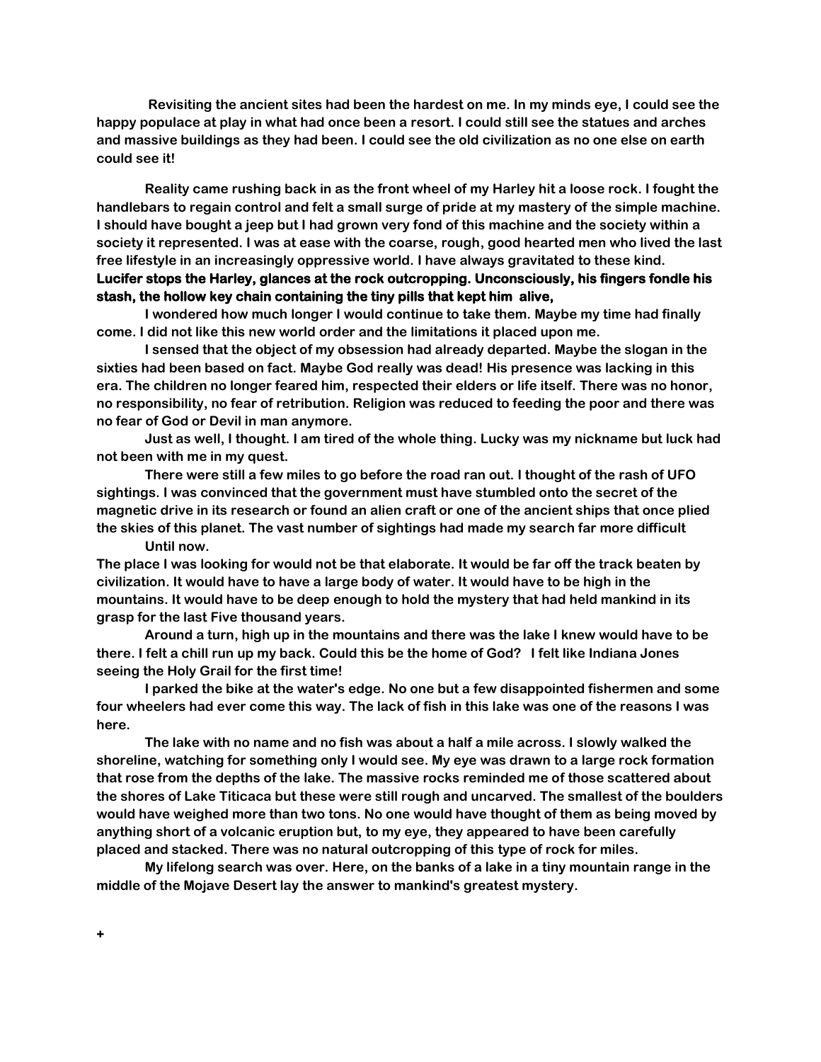**Revisiting the ancient sites had been the hardest on me. In my minds eye, I could see the happy populace at play in what had once been a resort. I could still see the statues and arches and massive buildings as they had been. I could see the old civilization as no one else on earth could see it!**

**Reality came rushing back in as the front wheel of my Harley hit a loose rock. I fought the handlebars to regain control and felt a small surge of pride at my mastery of the simple machine. I should have bought a jeep but I had grown very fond of this machine and the society within a society it represented. I was at ease with the coarse, rough, good hearted men who lived the last free lifestyle in an increasingly oppressive world. I have always gravitated to these kind. Lucifer stops the Harley, glances at the rock outcropping. Unconsciously, his fingers fondle his stash, the hollow key chain containing the tiny pills that kept him alive,** 

**I wondered how much longer I would continue to take them. Maybe my time had finally come. I did not like this new world order and the limitations it placed upon me.** 

**I sensed that the object of my obsession had already departed. Maybe the slogan in the sixties had been based on fact. Maybe God really was dead! His presence was lacking in this era. The children no longer feared him, respected their elders or life itself. There was no honor, no responsibility, no fear of retribution. Religion was reduced to feeding the poor and there was no fear of God or Devil in man anymore.** 

**Just as well, I thought. I am tired of the whole thing. Lucky was my nickname but luck had not been with me in my quest.** 

**There were still a few miles to go before the road ran out. I thought of the rash of UFO sightings. I was convinced that the government must have stumbled onto the secret of the magnetic drive in its research or found an alien craft or one of the ancient ships that once plied the skies of this planet. The vast number of sightings had made my search far more difficult Until now.**

**The place I was looking for would not be that elaborate. It would be far off the track beaten by civilization. It would have to have a large body of water. It would have to be high in the mountains. It would have to be deep enough to hold the mystery that had held mankind in its grasp for the last Five thousand years.**

**Around a turn, high up in the mountains and there was the lake I knew would have to be there. I felt a chill run up my back. Could this be the home of God? I felt like Indiana Jones seeing the Holy Grail for the first time!**

**I parked the bike at the water's edge. No one but a few disappointed fishermen and some four wheelers had ever come this way. The lack of fish in this lake was one of the reasons I was here.**

**The lake with no name and no fish was about a half a mile across. I slowly walked the shoreline, watching for something only I would see. My eye was drawn to a large rock formation that rose from the depths of the lake. The massive rocks reminded me of those scattered about the shores of Lake Titicaca but these were still rough and uncarved. The smallest of the boulders would have weighed more than two tons. No one would have thought of them as being moved by anything short of a volcanic eruption but, to my eye, they appeared to have been carefully placed and stacked. There was no natural outcropping of this type of rock for miles.** 

**My lifelong search was over. Here, on the banks of a lake in a tiny mountain range in the middle of the Mojave Desert lay the answer to mankind's greatest mystery.**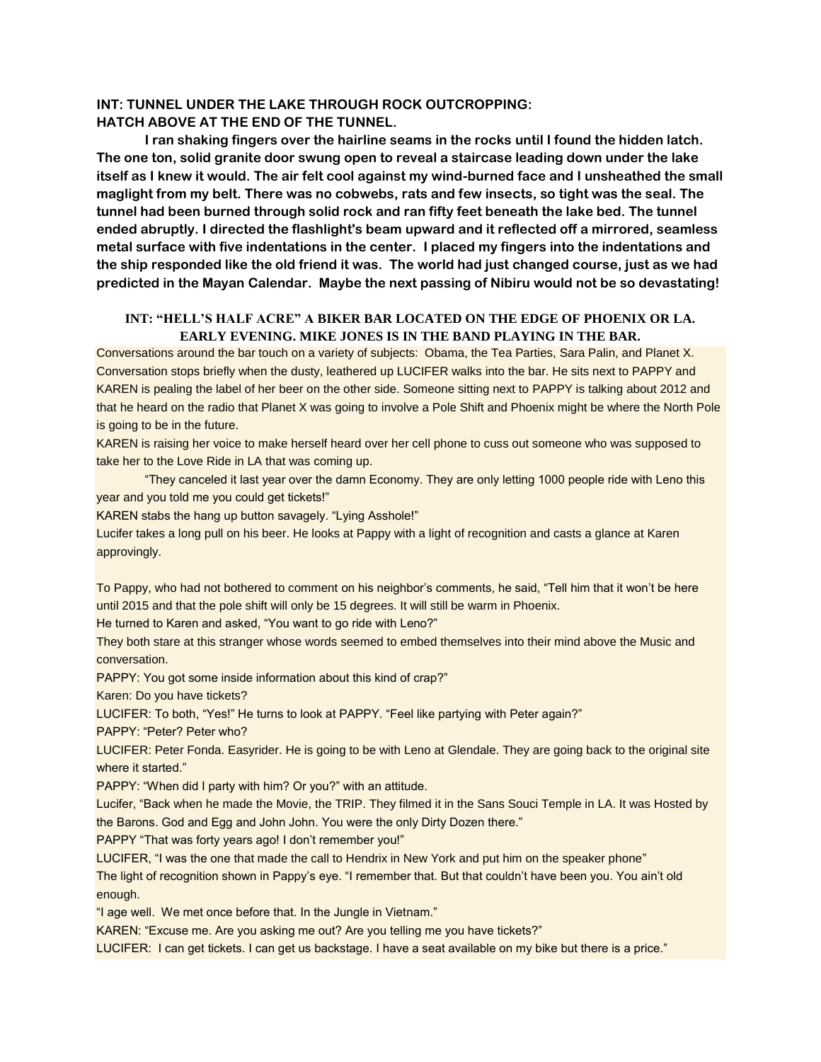### **INT: TUNNEL UNDER THE LAKE THROUGH ROCK OUTCROPPING: HATCH ABOVE AT THE END OF THE TUNNEL.**

**I ran shaking fingers over the hairline seams in the rocks until I found the hidden latch. The one ton, solid granite door swung open to reveal a staircase leading down under the lake itself as I knew it would. The air felt cool against my wind-burned face and I unsheathed the small maglight from my belt. There was no cobwebs, rats and few insects, so tight was the seal. The tunnel had been burned through solid rock and ran fifty feet beneath the lake bed. The tunnel ended abruptly. I directed the flashlight's beam upward and it reflected off a mirrored, seamless metal surface with five indentations in the center. I placed my fingers into the indentations and the ship responded like the old friend it was. The world had just changed course, just as we had predicted in the Mayan Calendar. Maybe the next passing of Nibiru would not be so devastating!**

### **INT: "HELL'S HALF ACRE" A BIKER BAR LOCATED ON THE EDGE OF PHOENIX OR LA. EARLY EVENING. MIKE JONES IS IN THE BAND PLAYING IN THE BAR.**

Conversations around the bar touch on a variety of subjects: Obama, the Tea Parties, Sara Palin, and Planet X. Conversation stops briefly when the dusty, leathered up LUCIFER walks into the bar. He sits next to PAPPY and KAREN is pealing the label of her beer on the other side. Someone sitting next to PAPPY is talking about 2012 and that he heard on the radio that Planet X was going to involve a Pole Shift and Phoenix might be where the North Pole is going to be in the future.

KAREN is raising her voice to make herself heard over her cell phone to cuss out someone who was supposed to take her to the Love Ride in LA that was coming up.

"They canceled it last year over the damn Economy. They are only letting 1000 people ride with Leno this year and you told me you could get tickets!"

KAREN stabs the hang up button savagely. "Lying Asshole!"

Lucifer takes a long pull on his beer. He looks at Pappy with a light of recognition and casts a glance at Karen approvingly.

To Pappy, who had not bothered to comment on his neighbor's comments, he said, "Tell him that it won't be here until 2015 and that the pole shift will only be 15 degrees. It will still be warm in Phoenix.

He turned to Karen and asked, "You want to go ride with Leno?"

They both stare at this stranger whose words seemed to embed themselves into their mind above the Music and conversation.

PAPPY: You got some inside information about this kind of crap?"

Karen: Do you have tickets?

LUCIFER: To both, "Yes!" He turns to look at PAPPY. "Feel like partying with Peter again?"

PAPPY: "Peter? Peter who?

LUCIFER: Peter Fonda. Easyrider. He is going to be with Leno at Glendale. They are going back to the original site where it started."

PAPPY: "When did I party with him? Or you?" with an attitude.

Lucifer, "Back when he made the Movie, the TRIP. They filmed it in the Sans Souci Temple in LA. It was Hosted by the Barons. God and Egg and John John. You were the only Dirty Dozen there."

PAPPY "That was forty years ago! I don't remember you!"

LUCIFER, "I was the one that made the call to Hendrix in New York and put him on the speaker phone"

The light of recognition shown in Pappy's eye. "I remember that. But that couldn't have been you. You ain't old enough.

"I age well. We met once before that. In the Jungle in Vietnam."

KAREN: "Excuse me. Are you asking me out? Are you telling me you have tickets?"

LUCIFER: I can get tickets. I can get us backstage. I have a seat available on my bike but there is a price."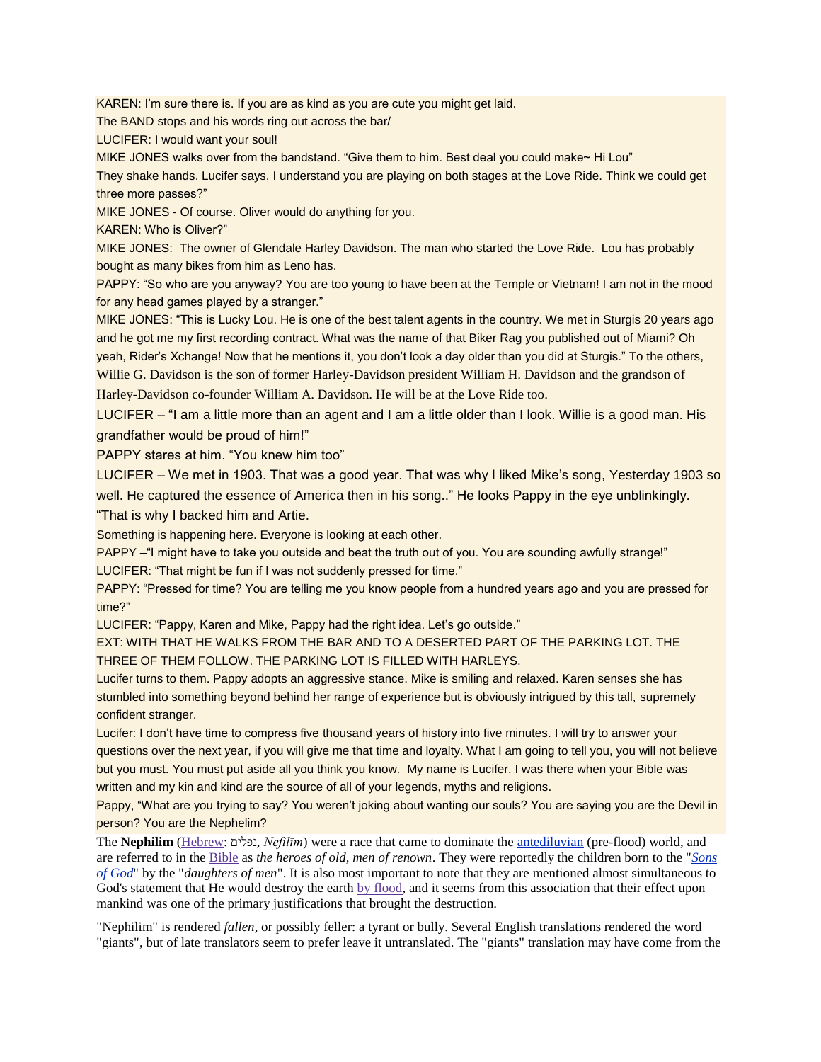KAREN: I'm sure there is. If you are as kind as you are cute you might get laid.

The BAND stops and his words ring out across the bar/

LUCIFER: I would want your soul!

MIKE JONES walks over from the bandstand. "Give them to him. Best deal you could make~ Hi Lou"

They shake hands. Lucifer says, I understand you are playing on both stages at the Love Ride. Think we could get three more passes?"

MIKE JONES - Of course. Oliver would do anything for you.

KAREN: Who is Oliver?"

MIKE JONES: The owner of Glendale Harley Davidson. The man who started the Love Ride. Lou has probably bought as many bikes from him as Leno has.

PAPPY: "So who are you anyway? You are too young to have been at the Temple or Vietnam! I am not in the mood for any head games played by a stranger."

MIKE JONES: "This is Lucky Lou. He is one of the best talent agents in the country. We met in Sturgis 20 years ago and he got me my first recording contract. What was the name of that Biker Rag you published out of Miami? Oh yeah, Rider's Xchange! Now that he mentions it, you don't look a day older than you did at Sturgis." To the others, Willie G. Davidson is the son of former Harley-Davidson president William H. Davidson and the grandson of Harley-Davidson co-founder William A. Davidson. He will be at the Love Ride too.

LUCIFER – "I am a little more than an agent and I am a little older than I look. Willie is a good man. His grandfather would be proud of him!"

PAPPY stares at him. "You knew him too"

LUCIFER – We met in 1903. That was a good year. That was why I liked Mike's song, Yesterday 1903 so well. He captured the essence of America then in his song.." He looks Pappy in the eye unblinkingly.

"That is why I backed him and Artie.

Something is happening here. Everyone is looking at each other.

PAPPY -"I might have to take you outside and beat the truth out of you. You are sounding awfully strange!" LUCIFER: "That might be fun if I was not suddenly pressed for time."

PAPPY: "Pressed for time? You are telling me you know people from a hundred years ago and you are pressed for time?"

LUCIFER: "Pappy, Karen and Mike, Pappy had the right idea. Let's go outside."

EXT: WITH THAT HE WALKS FROM THE BAR AND TO A DESERTED PART OF THE PARKING LOT. THE THREE OF THEM FOLLOW. THE PARKING LOT IS FILLED WITH HARLEYS.

Lucifer turns to them. Pappy adopts an aggressive stance. Mike is smiling and relaxed. Karen senses she has stumbled into something beyond behind her range of experience but is obviously intrigued by this tall, supremely confident stranger.

Lucifer: I don't have time to compress five thousand years of history into five minutes. I will try to answer your questions over the next year, if you will give me that time and loyalty. What I am going to tell you, you will not believe but you must. You must put aside all you think you know. My name is Lucifer. I was there when your Bible was written and my kin and kind are the source of all of your legends, myths and religions.

Pappy, "What are you trying to say? You weren't joking about wanting our souls? You are saying you are the Devil in person? You are the Nephelim?

The **Nephilim** [\(Hebrew:](http://creationwiki.org/Hebrew) נפלים, *Nefilīm*) were a race that came to dominate the [antediluvian](http://creationwiki.org/Antediluvial_civilizations) (pre-flood) world, and are referred to in the [Bible](http://creationwiki.org/Bible) as *the heroes of old, men of renown*. They were reportedly the children born to the "*[Sons](http://creationwiki.org/Sons_of_God)  [of God](http://creationwiki.org/Sons_of_God)*" by the "*daughters of men*". It is also most important to note that they are mentioned almost simultaneous to God's statement that He would destroy the earth [by flood,](http://creationwiki.org/Flood_of_Noah) and it seems from this association that their effect upon mankind was one of the primary justifications that brought the destruction.

"Nephilim" is rendered *fallen*, or possibly feller: a tyrant or bully. Several English translations rendered the word "giants", but of late translators seem to prefer leave it untranslated. The "giants" translation may have come from the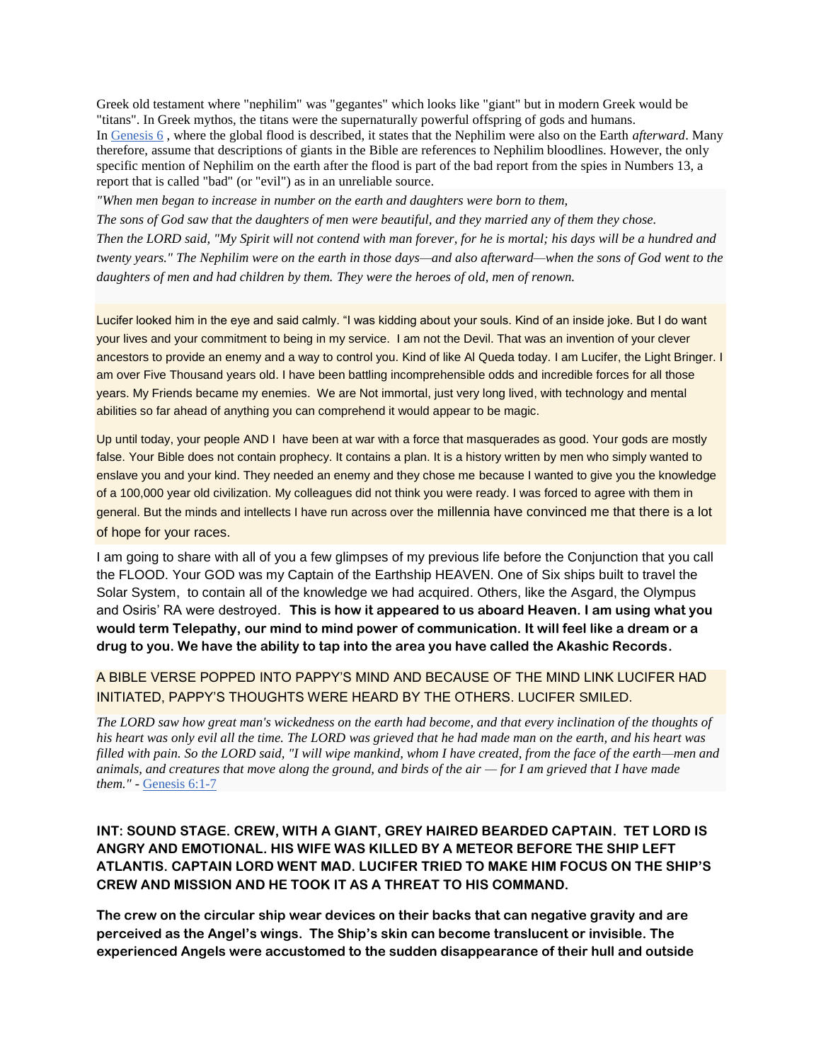Greek old testament where "nephilim" was "gegantes" which looks like "giant" but in modern Greek would be "titans". In Greek mythos, the titans were the supernaturally powerful offspring of gods and humans. In [Genesis 6](http://www.biblegateway.com/cgi-bin/bible?language=english&passage=Genesis+6&version=NIV) , where the global flood is described, it states that the Nephilim were also on the Earth *afterward*. Many therefore, assume that descriptions of giants in the Bible are references to Nephilim bloodlines. However, the only specific mention of Nephilim on the earth after the flood is part of the bad report from the spies in Numbers 13, a report that is called "bad" (or "evil") as in an unreliable source.

*"When men began to increase in number on the earth and daughters were born to them,*

*The sons of God saw that the daughters of men were beautiful, and they married any of them they chose. Then the LORD said, "My Spirit will not contend with man forever, for he is mortal; his days will be a hundred and twenty years." The Nephilim were on the earth in those days—and also afterward—when the sons of God went to the daughters of men and had children by them. They were the heroes of old, men of renown.*

Lucifer looked him in the eye and said calmly. "I was kidding about your souls. Kind of an inside joke. But I do want your lives and your commitment to being in my service. I am not the Devil. That was an invention of your clever ancestors to provide an enemy and a way to control you. Kind of like Al Queda today. I am Lucifer, the Light Bringer. I am over Five Thousand years old. I have been battling incomprehensible odds and incredible forces for all those years. My Friends became my enemies. We are Not immortal, just very long lived, with technology and mental abilities so far ahead of anything you can comprehend it would appear to be magic.

Up until today, your people AND I have been at war with a force that masquerades as good. Your gods are mostly false. Your Bible does not contain prophecy. It contains a plan. It is a history written by men who simply wanted to enslave you and your kind. They needed an enemy and they chose me because I wanted to give you the knowledge of a 100,000 year old civilization. My colleagues did not think you were ready. I was forced to agree with them in general. But the minds and intellects I have run across over the millennia have convinced me that there is a lot of hope for your races.

I am going to share with all of you a few glimpses of my previous life before the Conjunction that you call the FLOOD. Your GOD was my Captain of the Earthship HEAVEN. One of Six ships built to travel the Solar System, to contain all of the knowledge we had acquired. Others, like the Asgard, the Olympus and Osiris' RA were destroyed. **This is how it appeared to us aboard Heaven. I am using what you would term Telepathy, our mind to mind power of communication. It will feel like a dream or a drug to you. We have the ability to tap into the area you have called the Akashic Records.**

# A BIBLE VERSE POPPED INTO PAPPY'S MIND AND BECAUSE OF THE MIND LINK LUCIFER HAD INITIATED, PAPPY'S THOUGHTS WERE HEARD BY THE OTHERS. LUCIFER SMILED.

*The LORD saw how great man's wickedness on the earth had become, and that every inclination of the thoughts of his heart was only evil all the time. The LORD was grieved that he had made man on the earth, and his heart was filled with pain. So the LORD said, "I will wipe mankind, whom I have created, from the face of the earth—men and animals, and creatures that move along the ground, and birds of the air — for I am grieved that I have made them."* - [Genesis 6:1-7](http://www.biblegateway.com/cgi-bin/bible?language=english&passage=Genesis+6%3A1-7&version=NIV)

# **INT: SOUND STAGE. CREW, WITH A GIANT, GREY HAIRED BEARDED CAPTAIN. TET LORD IS ANGRY AND EMOTIONAL. HIS WIFE WAS KILLED BY A METEOR BEFORE THE SHIP LEFT ATLANTIS. CAPTAIN LORD WENT MAD. LUCIFER TRIED TO MAKE HIM FOCUS ON THE SHIP'S CREW AND MISSION AND HE TOOK IT AS A THREAT TO HIS COMMAND.**

**The crew on the circular ship wear devices on their backs that can negative gravity and are perceived as the Angel's wings. The Ship's skin can become translucent or invisible. The experienced Angels were accustomed to the sudden disappearance of their hull and outside**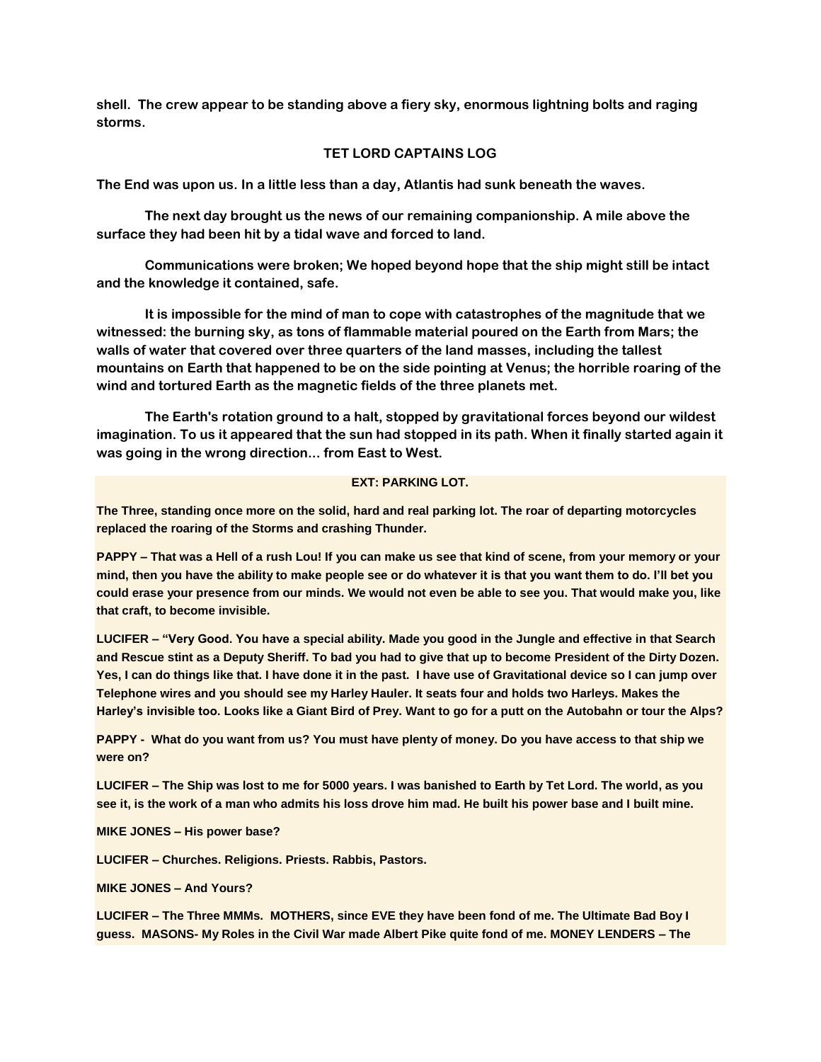**shell. The crew appear to be standing above a fiery sky, enormous lightning bolts and raging storms.** 

#### **TET LORD CAPTAINS LOG**

**The End was upon us. In a little less than a day, Atlantis had sunk beneath the waves.**

**The next day brought us the news of our remaining companionship. A mile above the surface they had been hit by a tidal wave and forced to land.** 

**Communications were broken; We hoped beyond hope that the ship might still be intact and the knowledge it contained, safe.** 

**It is impossible for the mind of man to cope with catastrophes of the magnitude that we witnessed: the burning sky, as tons of flammable material poured on the Earth from Mars; the walls of water that covered over three quarters of the land masses, including the tallest mountains on Earth that happened to be on the side pointing at Venus; the horrible roaring of the wind and tortured Earth as the magnetic fields of the three planets met.** 

**The Earth's rotation ground to a halt, stopped by gravitational forces beyond our wildest imagination. To us it appeared that the sun had stopped in its path. When it finally started again it was going in the wrong direction... from East to West.**

#### **EXT: PARKING LOT.**

**The Three, standing once more on the solid, hard and real parking lot. The roar of departing motorcycles replaced the roaring of the Storms and crashing Thunder.** 

**PAPPY – That was a Hell of a rush Lou! If you can make us see that kind of scene, from your memory or your mind, then you have the ability to make people see or do whatever it is that you want them to do. I'll bet you could erase your presence from our minds. We would not even be able to see you. That would make you, like that craft, to become invisible.**

**LUCIFER – "Very Good. You have a special ability. Made you good in the Jungle and effective in that Search and Rescue stint as a Deputy Sheriff. To bad you had to give that up to become President of the Dirty Dozen. Yes, I can do things like that. I have done it in the past. I have use of Gravitational device so I can jump over Telephone wires and you should see my Harley Hauler. It seats four and holds two Harleys. Makes the Harley's invisible too. Looks like a Giant Bird of Prey. Want to go for a putt on the Autobahn or tour the Alps?** 

**PAPPY - What do you want from us? You must have plenty of money. Do you have access to that ship we were on?**

**LUCIFER – The Ship was lost to me for 5000 years. I was banished to Earth by Tet Lord. The world, as you see it, is the work of a man who admits his loss drove him mad. He built his power base and I built mine.**

**MIKE JONES – His power base?**

**LUCIFER – Churches. Religions. Priests. Rabbis, Pastors.** 

**MIKE JONES – And Yours?**

**LUCIFER – The Three MMMs. MOTHERS, since EVE they have been fond of me. The Ultimate Bad Boy I guess. MASONS- My Roles in the Civil War made Albert Pike quite fond of me. MONEY LENDERS – The**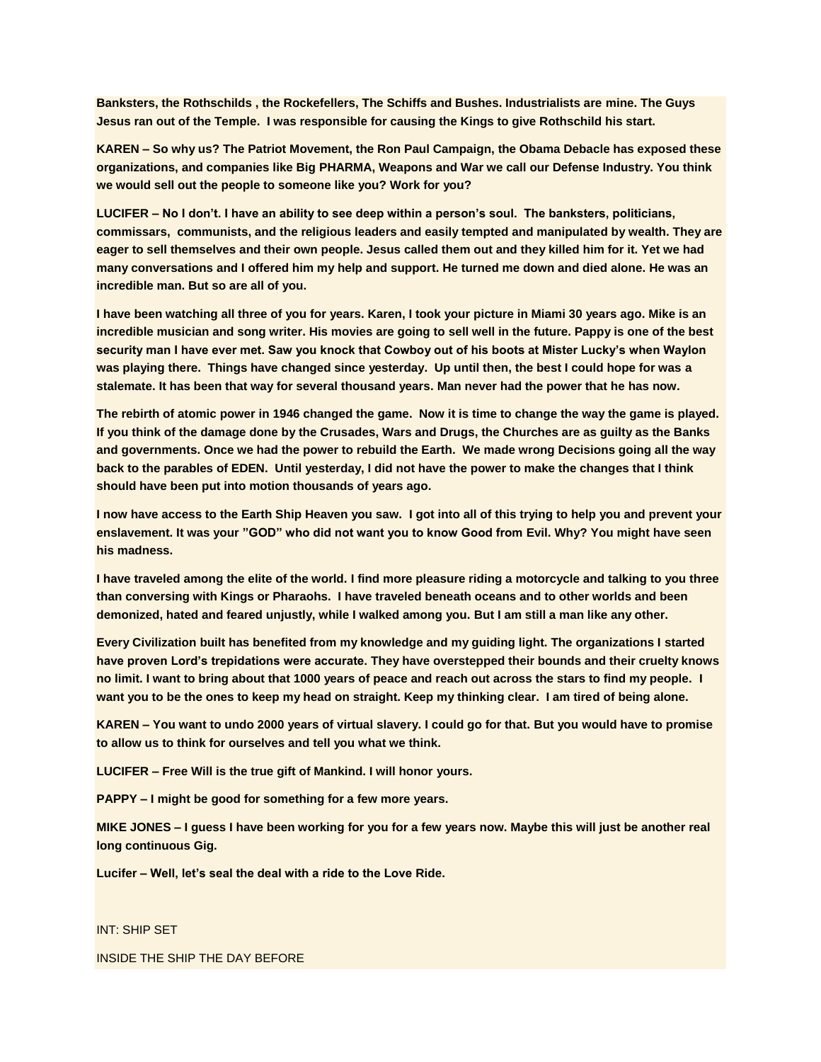**Banksters, the Rothschilds , the Rockefellers, The Schiffs and Bushes. Industrialists are mine. The Guys Jesus ran out of the Temple. I was responsible for causing the Kings to give Rothschild his start.** 

**KAREN – So why us? The Patriot Movement, the Ron Paul Campaign, the Obama Debacle has exposed these organizations, and companies like Big PHARMA, Weapons and War we call our Defense Industry. You think we would sell out the people to someone like you? Work for you?** 

**LUCIFER – No I don't. I have an ability to see deep within a person's soul. The banksters, politicians, commissars, communists, and the religious leaders and easily tempted and manipulated by wealth. They are eager to sell themselves and their own people. Jesus called them out and they killed him for it. Yet we had many conversations and I offered him my help and support. He turned me down and died alone. He was an incredible man. But so are all of you.**

**I have been watching all three of you for years. Karen, I took your picture in Miami 30 years ago. Mike is an incredible musician and song writer. His movies are going to sell well in the future. Pappy is one of the best security man I have ever met. Saw you knock that Cowboy out of his boots at Mister Lucky's when Waylon was playing there. Things have changed since yesterday. Up until then, the best I could hope for was a stalemate. It has been that way for several thousand years. Man never had the power that he has now.**

**The rebirth of atomic power in 1946 changed the game. Now it is time to change the way the game is played. If you think of the damage done by the Crusades, Wars and Drugs, the Churches are as guilty as the Banks and governments. Once we had the power to rebuild the Earth. We made wrong Decisions going all the way back to the parables of EDEN. Until yesterday, I did not have the power to make the changes that I think should have been put into motion thousands of years ago.**

**I now have access to the Earth Ship Heaven you saw. I got into all of this trying to help you and prevent your enslavement. It was your "GOD" who did not want you to know Good from Evil. Why? You might have seen his madness.**

**I have traveled among the elite of the world. I find more pleasure riding a motorcycle and talking to you three than conversing with Kings or Pharaohs. I have traveled beneath oceans and to other worlds and been demonized, hated and feared unjustly, while I walked among you. But I am still a man like any other.**

**Every Civilization built has benefited from my knowledge and my guiding light. The organizations I started have proven Lord's trepidations were accurate. They have overstepped their bounds and their cruelty knows no limit. I want to bring about that 1000 years of peace and reach out across the stars to find my people. I want you to be the ones to keep my head on straight. Keep my thinking clear. I am tired of being alone.** 

**KAREN – You want to undo 2000 years of virtual slavery. I could go for that. But you would have to promise to allow us to think for ourselves and tell you what we think.** 

**LUCIFER – Free Will is the true gift of Mankind. I will honor yours.**

**PAPPY – I might be good for something for a few more years.**

**MIKE JONES – I guess I have been working for you for a few years now. Maybe this will just be another real long continuous Gig.** 

**Lucifer – Well, let's seal the deal with a ride to the Love Ride.**

INT: SHIP SET

INSIDE THE SHIP THE DAY BEFORE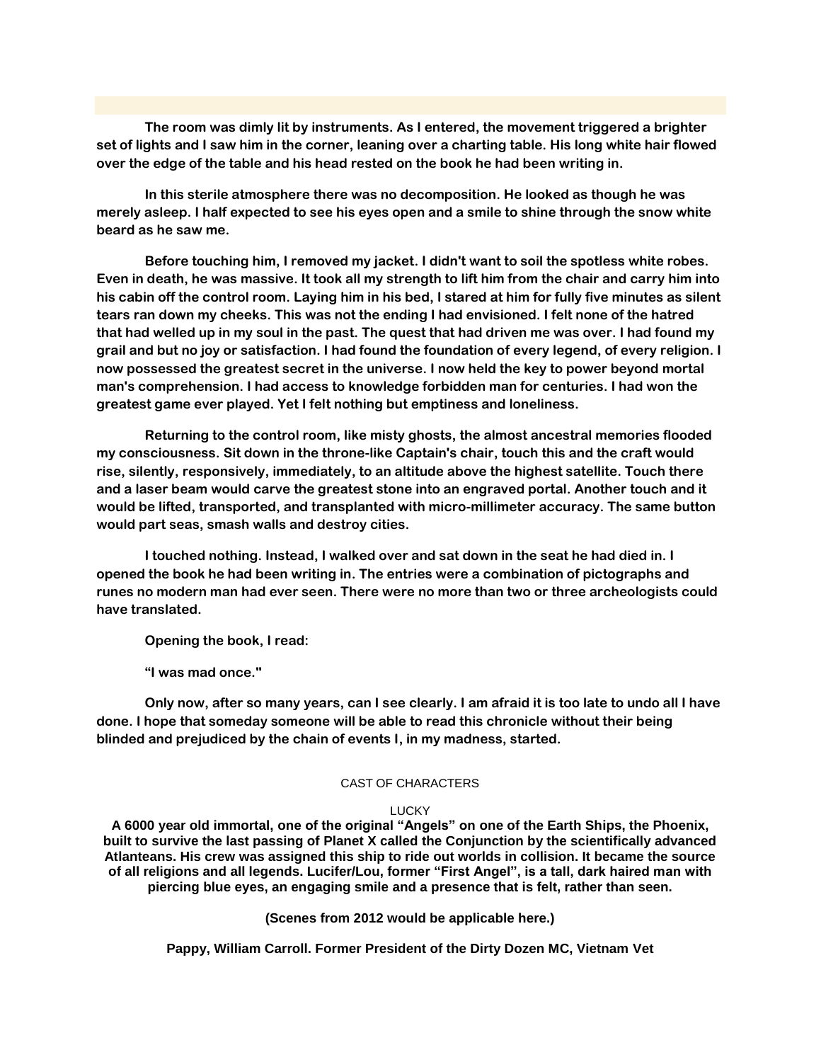**The room was dimly lit by instruments. As I entered, the movement triggered a brighter set of lights and I saw him in the corner, leaning over a charting table. His long white hair flowed over the edge of the table and his head rested on the book he had been writing in.** 

**In this sterile atmosphere there was no decomposition. He looked as though he was merely asleep. I half expected to see his eyes open and a smile to shine through the snow white beard as he saw me.**

**Before touching him, I removed my jacket. I didn't want to soil the spotless white robes. Even in death, he was massive. It took all my strength to lift him from the chair and carry him into his cabin off the control room. Laying him in his bed, I stared at him for fully five minutes as silent tears ran down my cheeks. This was not the ending I had envisioned. I felt none of the hatred that had welled up in my soul in the past. The quest that had driven me was over. I had found my grail and but no joy or satisfaction. I had found the foundation of every legend, of every religion. I now possessed the greatest secret in the universe. I now held the key to power beyond mortal man's comprehension. I had access to knowledge forbidden man for centuries. I had won the greatest game ever played. Yet I felt nothing but emptiness and loneliness.**

**Returning to the control room, like misty ghosts, the almost ancestral memories flooded my consciousness. Sit down in the throne-like Captain's chair, touch this and the craft would rise, silently, responsively, immediately, to an altitude above the highest satellite. Touch there and a laser beam would carve the greatest stone into an engraved portal. Another touch and it would be lifted, transported, and transplanted with micro-millimeter accuracy. The same button would part seas, smash walls and destroy cities.** 

**I touched nothing. Instead, I walked over and sat down in the seat he had died in. I opened the book he had been writing in. The entries were a combination of pictographs and runes no modern man had ever seen. There were no more than two or three archeologists could have translated.**

**Opening the book, I read:**

**"I was mad once."**

**Only now, after so many years, can I see clearly. I am afraid it is too late to undo all I have done. I hope that someday someone will be able to read this chronicle without their being blinded and prejudiced by the chain of events I, in my madness, started.**

#### CAST OF CHARACTERS

#### LUCKY

**A 6000 year old immortal, one of the original "Angels" on one of the Earth Ships, the Phoenix, built to survive the last passing of Planet X called the Conjunction by the scientifically advanced Atlanteans. His crew was assigned this ship to ride out worlds in collision. It became the source of all religions and all legends. Lucifer/Lou, former "First Angel", is a tall, dark haired man with piercing blue eyes, an engaging smile and a presence that is felt, rather than seen.** 

**(Scenes from 2012 would be applicable here.)**

**Pappy, William Carroll. Former President of the Dirty Dozen MC, Vietnam Vet**